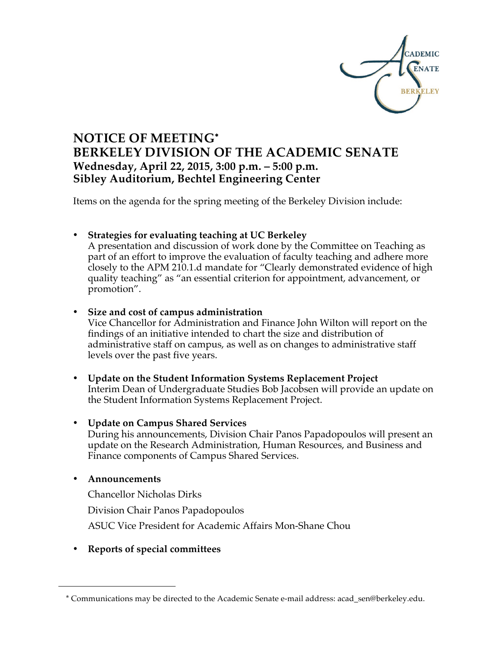

# **NOTICE OF MEETING**<sup>∗</sup> **BERKELEY DIVISION OF THE ACADEMIC SENATE Wednesday, April 22, 2015, 3:00 p.m. – 5:00 p.m. Sibley Auditorium, Bechtel Engineering Center**

Items on the agenda for the spring meeting of the Berkeley Division include:

#### • **Strategies for evaluating teaching at UC Berkeley**

A presentation and discussion of work done by the Committee on Teaching as part of an effort to improve the evaluation of faculty teaching and adhere more closely to the APM 210.1.d mandate for "Clearly demonstrated evidence of high quality teaching" as "an essential criterion for appointment, advancement, or promotion".

#### • **Size and cost of campus administration**

Vice Chancellor for Administration and Finance John Wilton will report on the findings of an initiative intended to chart the size and distribution of administrative staff on campus, as well as on changes to administrative staff levels over the past five years.

• **Update on the Student Information Systems Replacement Project** Interim Dean of Undergraduate Studies Bob Jacobsen will provide an update on the Student Information Systems Replacement Project.

#### • **Update on Campus Shared Services**

During his announcements, Division Chair Panos Papadopoulos will present an update on the Research Administration, Human Resources, and Business and Finance components of Campus Shared Services.

#### • **Announcements**

 $\overline{a}$ 

Chancellor Nicholas Dirks

Division Chair Panos Papadopoulos

ASUC Vice President for Academic Affairs Mon-Shane Chou

• **Reports of special committees**

<sup>\*</sup> Communications may be directed to the Academic Senate e-mail address: acad\_sen@berkeley.edu.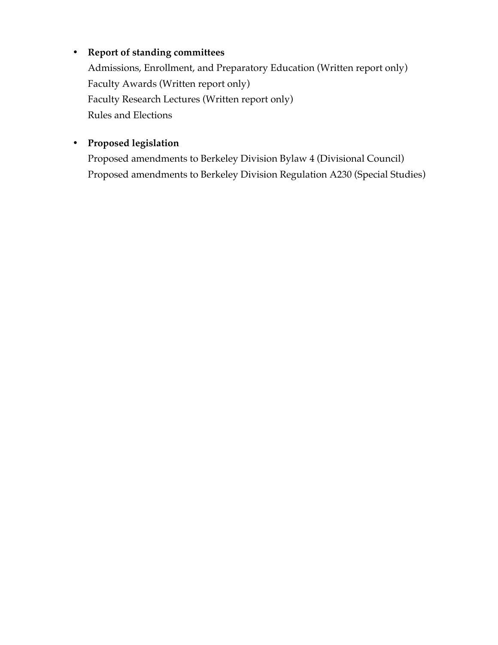# • **Report of standing committees**

Admissions, Enrollment, and Preparatory Education (Written report only) Faculty Awards (Written report only) Faculty Research Lectures (Written report only) Rules and Elections

# • **Proposed legislation**

Proposed amendments to Berkeley Division Bylaw 4 (Divisional Council) Proposed amendments to Berkeley Division Regulation A230 (Special Studies)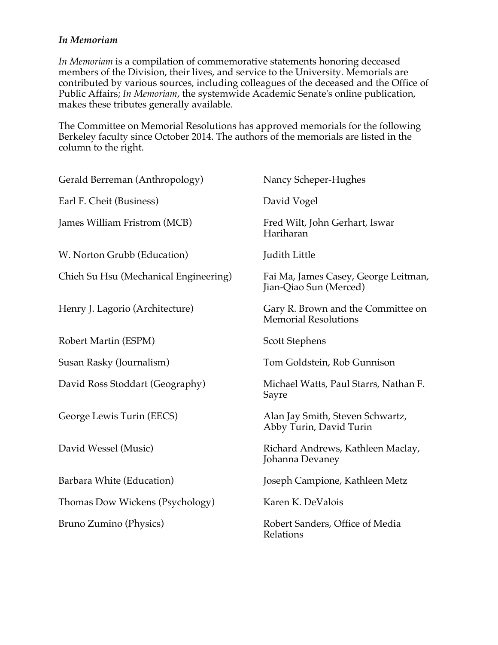#### *In Memoriam*

*In Memoriam* is a compilation of commemorative statements honoring deceased members of the Division, their lives, and service to the University. Memorials are contributed by various sources, including colleagues of the deceased and the Office of Public Affairs; *In Memoriam*, the systemwide Academic Senate's online publication, makes these tributes generally available.

The Committee on Memorial Resolutions has approved memorials for the following Berkeley faculty since October 2014. The authors of the memorials are listed in the column to the right.

| Gerald Berreman (Anthropology)        | Nancy Scheper-Hughes                                              |
|---------------------------------------|-------------------------------------------------------------------|
| Earl F. Cheit (Business)              | David Vogel                                                       |
| James William Fristrom (MCB)          | Fred Wilt, John Gerhart, Iswar<br>Hariharan                       |
| W. Norton Grubb (Education)           | <b>Judith Little</b>                                              |
| Chieh Su Hsu (Mechanical Engineering) | Fai Ma, James Casey, George Leitman,<br>Jian-Qiao Sun (Merced)    |
| Henry J. Lagorio (Architecture)       | Gary R. Brown and the Committee on<br><b>Memorial Resolutions</b> |
| Robert Martin (ESPM)                  | <b>Scott Stephens</b>                                             |
| Susan Rasky (Journalism)              | Tom Goldstein, Rob Gunnison                                       |
| David Ross Stoddart (Geography)       | Michael Watts, Paul Starrs, Nathan F.<br>Sayre                    |
| George Lewis Turin (EECS)             | Alan Jay Smith, Steven Schwartz,<br>Abby Turin, David Turin       |
| David Wessel (Music)                  | Richard Andrews, Kathleen Maclay,<br>Johanna Devaney              |
| Barbara White (Education)             | Joseph Campione, Kathleen Metz                                    |
| Thomas Dow Wickens (Psychology)       | Karen K. DeValois                                                 |
| Bruno Zumino (Physics)                | Robert Sanders, Office of Media<br>Relations                      |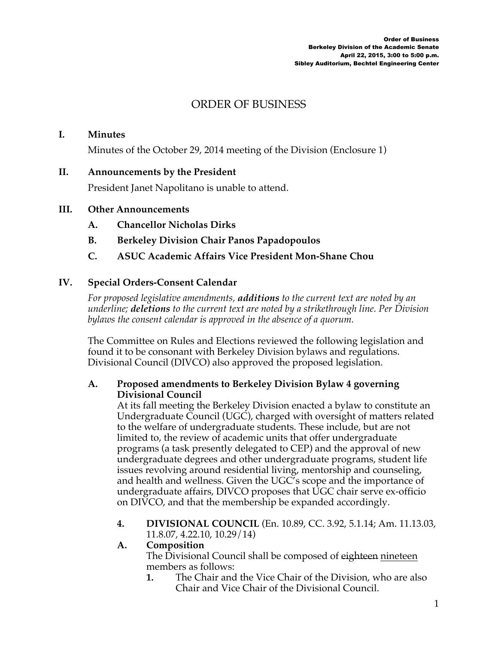# ORDER OF BUSINESS

#### **I. Minutes**

Minutes of the October 29, 2014 meeting of the Division (Enclosure 1)

#### **II. Announcements by the President**

President Janet Napolitano is unable to attend.

#### **III. Other Announcements**

- **A. Chancellor Nicholas Dirks**
- **B. Berkeley Division Chair Panos Papadopoulos**

#### **C. ASUC Academic Affairs Vice President Mon-Shane Chou**

#### **IV. Special Orders-Consent Calendar**

*For proposed legislative amendments, additions to the current text are noted by an underline; deletions to the current text are noted by a strikethrough line. Per Division bylaws the consent calendar is approved in the absence of a quorum.*

The Committee on Rules and Elections reviewed the following legislation and found it to be consonant with Berkeley Division bylaws and regulations. Divisional Council (DIVCO) also approved the proposed legislation.

#### **A. Proposed amendments to Berkeley Division Bylaw 4 governing Divisional Council**

At its fall meeting the Berkeley Division enacted a bylaw to constitute an Undergraduate Council (UGC), charged with oversight of matters related to the welfare of undergraduate students. These include, but are not limited to, the review of academic units that offer undergraduate programs (a task presently delegated to CEP) and the approval of new undergraduate degrees and other undergraduate programs, student life issues revolving around residential living, mentorship and counseling, and health and wellness. Given the UGC's scope and the importance of undergraduate affairs, DIVCO proposes that UGC chair serve ex-officio on DIVCO, and that the membership be expanded accordingly.

**4. DIVISIONAL COUNCIL** (En. 10.89, CC. 3.92, 5.1.14; Am. 11.13.03, 11.8.07, 4.22.10, 10.29/14)

#### **A. Composition**

The Divisional Council shall be composed of eighteen nineteen members as follows:

**1.** The Chair and the Vice Chair of the Division, who are also Chair and Vice Chair of the Divisional Council.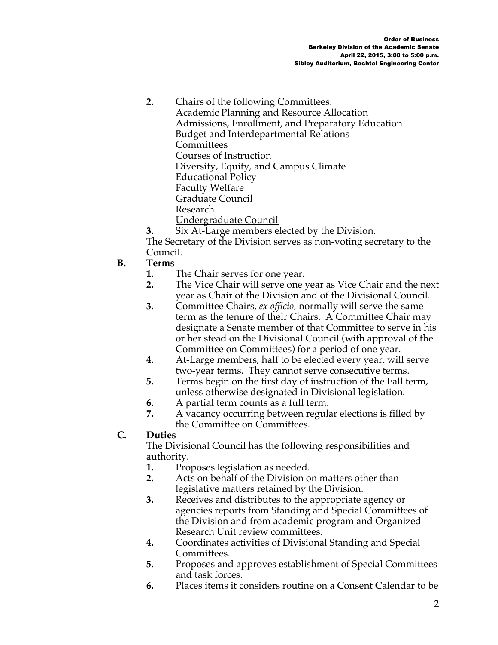**2.** Chairs of the following Committees: Academic Planning and Resource Allocation Admissions, Enrollment, and Preparatory Education Budget and Interdepartmental Relations **Committees** Courses of Instruction Diversity, Equity, and Campus Climate Educational Policy Faculty Welfare Graduate Council Research Undergraduate Council

**3.** Six At-Large members elected by the Division. The Secretary of the Division serves as non-voting secretary to the Council.

#### **B. Terms**

- **1.** The Chair serves for one year.
- **2.** The Vice Chair will serve one year as Vice Chair and the next year as Chair of the Division and of the Divisional Council.
- **3.** Committee Chairs, *ex officio*, normally will serve the same term as the tenure of their Chairs. A Committee Chair may designate a Senate member of that Committee to serve in his or her stead on the Divisional Council (with approval of the Committee on Committees) for a period of one year.
- **4.** At-Large members, half to be elected every year, will serve two-year terms. They cannot serve consecutive terms.
- **5.** Terms begin on the first day of instruction of the Fall term, unless otherwise designated in Divisional legislation.
- **6.** A partial term counts as a full term.
- **7.** A vacancy occurring between regular elections is filled by the Committee on Committees.

#### **C. Duties**

The Divisional Council has the following responsibilities and authority.

- **1.** Proposes legislation as needed.
- **2.** Acts on behalf of the Division on matters other than legislative matters retained by the Division.
- **3.** Receives and distributes to the appropriate agency or agencies reports from Standing and Special Committees of the Division and from academic program and Organized Research Unit review committees.
- **4.** Coordinates activities of Divisional Standing and Special Committees.
- **5.** Proposes and approves establishment of Special Committees and task forces.
- **6.** Places items it considers routine on a Consent Calendar to be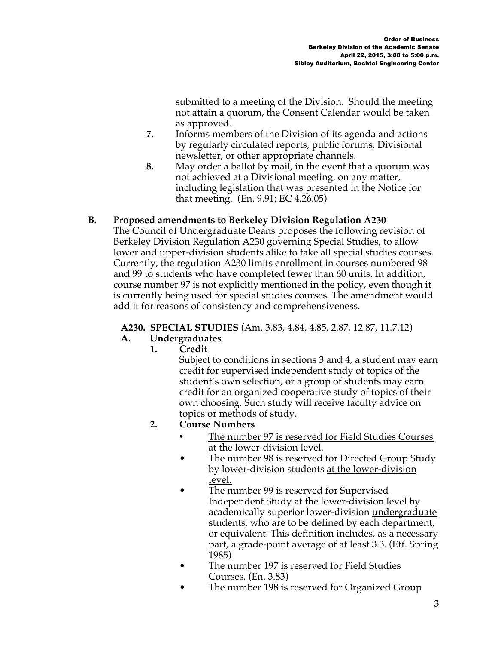submitted to a meeting of the Division. Should the meeting not attain a quorum, the Consent Calendar would be taken as approved.

- **7.** Informs members of the Division of its agenda and actions by regularly circulated reports, public forums, Divisional newsletter, or other appropriate channels.
- **8.** May order a ballot by mail, in the event that a quorum was not achieved at a Divisional meeting, on any matter, including legislation that was presented in the Notice for that meeting. (En. 9.91; EC 4.26.05)

## **B. Proposed amendments to Berkeley Division Regulation A230**

The Council of Undergraduate Deans proposes the following revision of Berkeley Division Regulation A230 governing Special Studies, to allow lower and upper-division students alike to take all special studies courses. Currently, the regulation A230 limits enrollment in courses numbered 98 and 99 to students who have completed fewer than 60 units. In addition, course number 97 is not explicitly mentioned in the policy, even though it is currently being used for special studies courses. The amendment would add it for reasons of consistency and comprehensiveness.

#### **A230. SPECIAL STUDIES** (Am. 3.83, 4.84, 4.85, 2.87, 12.87, 11.7.12)

## **A. Undergraduates**

**1. Credit**

Subject to conditions in sections 3 and 4, a student may earn credit for supervised independent study of topics of the student's own selection, or a group of students may earn credit for an organized cooperative study of topics of their own choosing. Such study will receive faculty advice on topics or methods of study.

- **2. Course Numbers**
	- The number 97 is reserved for Field Studies Courses at the lower-division level.
	- The number 98 is reserved for Directed Group Study by lower-division students at the lower-division level.
	- The number 99 is reserved for Supervised Independent Study at the lower-division level by academically superior lower-division undergraduate students, who are to be defined by each department, or equivalent. This definition includes, as a necessary part, a grade-point average of at least 3.3. (Eff. Spring 1985)
	- The number 197 is reserved for Field Studies Courses. (En. 3.83)
	- The number 198 is reserved for Organized Group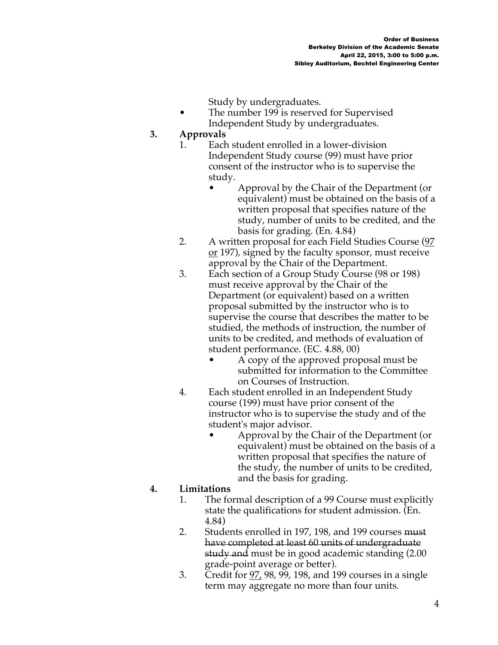Study by undergraduates.

The number 199 is reserved for Supervised Independent Study by undergraduates.

#### **3. Approvals**

- 1. Each student enrolled in a lower-division Independent Study course (99) must have prior consent of the instructor who is to supervise the study.
	- Approval by the Chair of the Department (or equivalent) must be obtained on the basis of a written proposal that specifies nature of the study, number of units to be credited, and the basis for grading. (En. 4.84)
- 2. A written proposal for each Field Studies Course (97 or 197), signed by the faculty sponsor, must receive approval by the Chair of the Department.
- 3. Each section of a Group Study Course (98 or 198) must receive approval by the Chair of the Department (or equivalent) based on a written proposal submitted by the instructor who is to supervise the course that describes the matter to be studied, the methods of instruction, the number of units to be credited, and methods of evaluation of student performance. (EC. 4.88, 00)
	- A copy of the approved proposal must be submitted for information to the Committee on Courses of Instruction.
- 4. Each student enrolled in an Independent Study course (199) must have prior consent of the instructor who is to supervise the study and of the student's major advisor.
	- Approval by the Chair of the Department (or equivalent) must be obtained on the basis of a written proposal that specifies the nature of the study, the number of units to be credited, and the basis for grading.

# **4. Limitations**

- 1. The formal description of a 99 Course must explicitly state the qualifications for student admission. (En. 4.84)
- 2. Students enrolled in 197, 198, and 199 courses must have completed at least 60 units of undergraduate study and must be in good academic standing (2.00 grade-point average or better).
- 3. Credit for 97, 98, 99, 198, and 199 courses in a single term may aggregate no more than four units.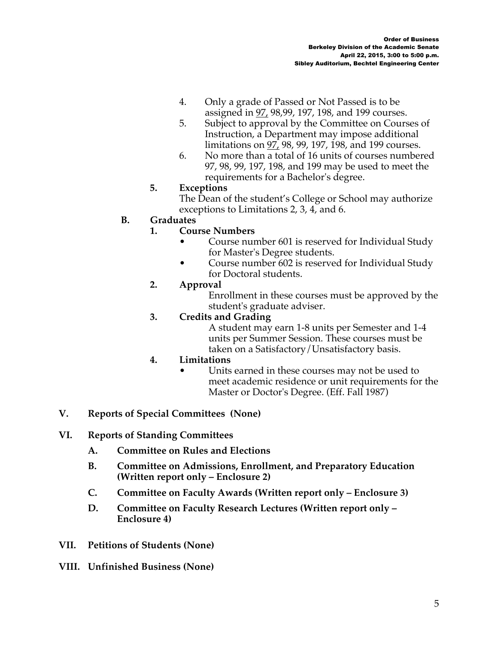- 4. Only a grade of Passed or Not Passed is to be assigned in 97, 98,99, 197, 198, and 199 courses.
- 5. Subject to approval by the Committee on Courses of Instruction, a Department may impose additional limitations on 97, 98, 99, 197, 198, and 199 courses.
- 6. No more than a total of 16 units of courses numbered 97, 98, 99, 197, 198, and 199 may be used to meet the requirements for a Bachelor's degree.

## **5. Exceptions**

The Dean of the student's College or School may authorize exceptions to Limitations 2, 3, 4, and 6.

## **B. Graduates**

#### **1. Course Numbers**

- Course number 601 is reserved for Individual Study for Master's Degree students.
- Course number 602 is reserved for Individual Study for Doctoral students.

#### **2. Approval**

Enrollment in these courses must be approved by the student's graduate adviser.

#### **3. Credits and Grading**

A student may earn 1-8 units per Semester and 1-4 units per Summer Session. These courses must be taken on a Satisfactory/Unsatisfactory basis.

#### **4. Limitations**

Units earned in these courses may not be used to meet academic residence or unit requirements for the Master or Doctor's Degree. (Eff. Fall 1987)

## **V. Reports of Special Committees (None)**

#### **VI. Reports of Standing Committees**

- **A. Committee on Rules and Elections**
- **B. Committee on Admissions, Enrollment, and Preparatory Education (Written report only – Enclosure 2)**
- **C. Committee on Faculty Awards (Written report only – Enclosure 3)**
- **D. Committee on Faculty Research Lectures (Written report only – Enclosure 4)**
- **VII. Petitions of Students (None)**
- **VIII. Unfinished Business (None)**